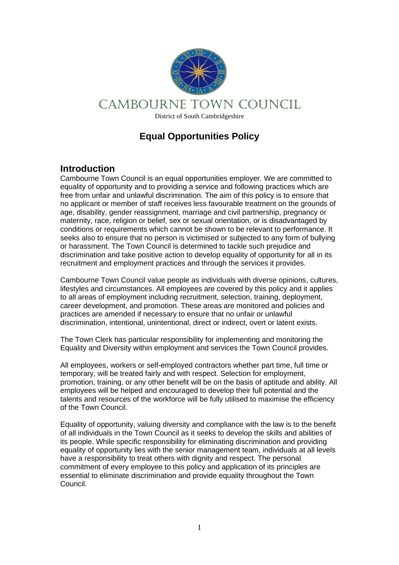

# **Equal Opportunities Policy**

### **Introduction**

Cambourne Town Council is an equal opportunities employer. We are committed to equality of opportunity and to providing a service and following practices which are free from unfair and unlawful discrimination. The aim of this policy is to ensure that no applicant or member of staff receives less favourable treatment on the grounds of age, disability, gender reassignment, marriage and civil partnership, pregnancy or maternity, race, religion or belief, sex or sexual orientation, or is disadvantaged by conditions or requirements which cannot be shown to be relevant to performance. It seeks also to ensure that no person is victimised or subjected to any form of bullying or harassment. The Town Council is determined to tackle such prejudice and discrimination and take positive action to develop equality of opportunity for all in its recruitment and employment practices and through the services it provides.

Cambourne Town Council value people as individuals with diverse opinions, cultures, lifestyles and circumstances. All employees are covered by this policy and it applies to all areas of employment including recruitment, selection, training, deployment, career development, and promotion. These areas are monitored and policies and practices are amended if necessary to ensure that no unfair or unlawful discrimination, intentional, unintentional, direct or indirect, overt or latent exists.

The Town Clerk has particular responsibility for implementing and monitoring the Equality and Diversity within employment and services the Town Council provides.

All employees, workers or self-employed contractors whether part time, full time or temporary, will be treated fairly and with respect. Selection for employment, promotion, training, or any other benefit will be on the basis of aptitude and ability. All employees will be helped and encouraged to develop their full potential and the talents and resources of the workforce will be fully utilised to maximise the efficiency of the Town Council.

Equality of opportunity, valuing diversity and compliance with the law is to the benefit of all individuals in the Town Council as it seeks to develop the skills and abilities of its people. While specific responsibility for eliminating discrimination and providing equality of opportunity lies with the senior management team, individuals at all levels have a responsibility to treat others with dignity and respect. The personal commitment of every employee to this policy and application of its principles are essential to eliminate discrimination and provide equality throughout the Town Council.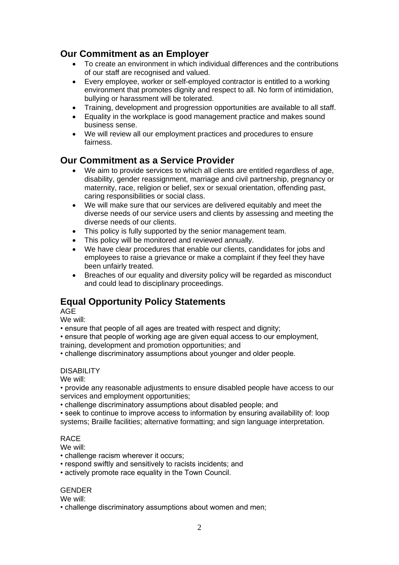## **Our Commitment as an Employer**

- To create an environment in which individual differences and the contributions of our staff are recognised and valued.
- Every employee, worker or self-employed contractor is entitled to a working environment that promotes dignity and respect to all. No form of intimidation, bullying or harassment will be tolerated.
- Training, development and progression opportunities are available to all staff.
- Equality in the workplace is good management practice and makes sound business sense.
- We will review all our employment practices and procedures to ensure fairness.

## **Our Commitment as a Service Provider**

- We aim to provide services to which all clients are entitled regardless of age, disability, gender reassignment, marriage and civil partnership, pregnancy or maternity, race, religion or belief, sex or sexual orientation, offending past, caring responsibilities or social class.
- We will make sure that our services are delivered equitably and meet the diverse needs of our service users and clients by assessing and meeting the diverse needs of our clients.
- This policy is fully supported by the senior management team.
- This policy will be monitored and reviewed annually.
- We have clear procedures that enable our clients, candidates for jobs and employees to raise a grievance or make a complaint if they feel they have been unfairly treated.
- Breaches of our equality and diversity policy will be regarded as misconduct and could lead to disciplinary proceedings.

# **Equal Opportunity Policy Statements**

AGE

We will:

• ensure that people of all ages are treated with respect and dignity;

• ensure that people of working age are given equal access to our employment, training, development and promotion opportunities; and

• challenge discriminatory assumptions about younger and older people.

### **DISABILITY**

We will:

• provide any reasonable adjustments to ensure disabled people have access to our services and employment opportunities;

• challenge discriminatory assumptions about disabled people; and

• seek to continue to improve access to information by ensuring availability of: loop systems; Braille facilities; alternative formatting; and sign language interpretation.

### RACE

We will:

- challenge racism wherever it occurs;
- respond swiftly and sensitively to racists incidents; and
- actively promote race equality in the Town Council.

### GENDER

We will:

• challenge discriminatory assumptions about women and men;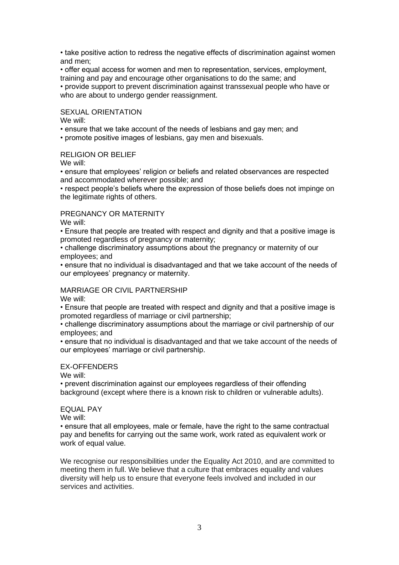• take positive action to redress the negative effects of discrimination against women and men;

• offer equal access for women and men to representation, services, employment, training and pay and encourage other organisations to do the same; and

• provide support to prevent discrimination against transsexual people who have or who are about to undergo gender reassignment.

#### SEXUAL ORIENTATION

We will:

• ensure that we take account of the needs of lesbians and gay men; and

• promote positive images of lesbians, gay men and bisexuals.

#### RELIGION OR BELIEF

We will:

• ensure that employees' religion or beliefs and related observances are respected and accommodated wherever possible; and

• respect people's beliefs where the expression of those beliefs does not impinge on the legitimate rights of others.

#### PREGNANCY OR MATERNITY

We will:

• Ensure that people are treated with respect and dignity and that a positive image is promoted regardless of pregnancy or maternity;

• challenge discriminatory assumptions about the pregnancy or maternity of our employees; and

• ensure that no individual is disadvantaged and that we take account of the needs of our employees' pregnancy or maternity.

#### MARRIAGE OR CIVIL PARTNERSHIP

We will:

• Ensure that people are treated with respect and dignity and that a positive image is promoted regardless of marriage or civil partnership;

• challenge discriminatory assumptions about the marriage or civil partnership of our employees; and

• ensure that no individual is disadvantaged and that we take account of the needs of our employees' marriage or civil partnership.

#### EX-OFFENDERS

We will:

• prevent discrimination against our employees regardless of their offending background (except where there is a known risk to children or vulnerable adults).

#### EQUAL PAY

We will:

• ensure that all employees, male or female, have the right to the same contractual pay and benefits for carrying out the same work, work rated as equivalent work or work of equal value.

We recognise our responsibilities under the Equality Act 2010, and are committed to meeting them in full. We believe that a culture that embraces equality and values diversity will help us to ensure that everyone feels involved and included in our services and activities.